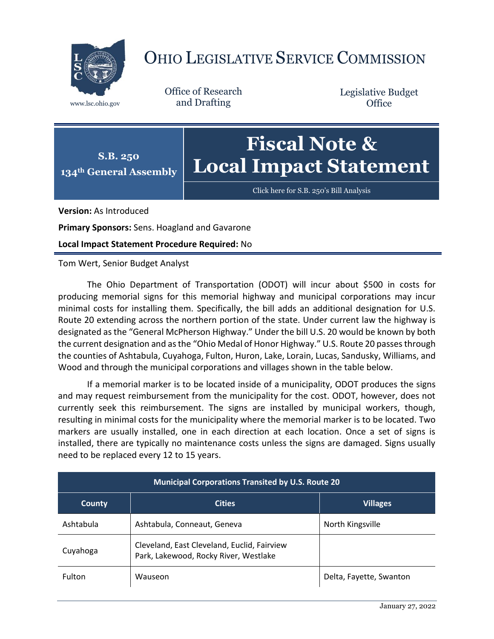

## OHIO LEGISLATIVE SERVICE COMMISSION

Office of Research www.lsc.ohio.gov and Drafting

Legislative Budget **Office** 



Click here for [S.B. 250's Bill Analysis](https://www.legislature.ohio.gov/legislation/legislation-documents?id=GA134-SB-250)

**Version:** As Introduced

**Primary Sponsors:** Sens. Hoagland and Gavarone

**Local Impact Statement Procedure Required:** No

Tom Wert, Senior Budget Analyst

The Ohio Department of Transportation (ODOT) will incur about \$500 in costs for producing memorial signs for this memorial highway and municipal corporations may incur minimal costs for installing them. Specifically, the bill adds an additional designation for U.S. Route 20 extending across the northern portion of the state. Under current law the highway is designated as the "General McPherson Highway." Under the bill U.S. 20 would be known by both the current designation and as the "Ohio Medal of Honor Highway." U.S. Route 20 passes through the counties of Ashtabula, Cuyahoga, Fulton, Huron, Lake, Lorain, Lucas, Sandusky, Williams, and Wood and through the municipal corporations and villages shown in the table below.

If a memorial marker is to be located inside of a municipality, ODOT produces the signs and may request reimbursement from the municipality for the cost. ODOT, however, does not currently seek this reimbursement. The signs are installed by municipal workers, though, resulting in minimal costs for the municipality where the memorial marker is to be located. Two markers are usually installed, one in each direction at each location. Once a set of signs is installed, there are typically no maintenance costs unless the signs are damaged. Signs usually need to be replaced every 12 to 15 years.

| <b>Municipal Corporations Transited by U.S. Route 20</b> |                                                                                      |                         |  |
|----------------------------------------------------------|--------------------------------------------------------------------------------------|-------------------------|--|
| County                                                   | <b>Cities</b>                                                                        | <b>Villages</b>         |  |
| Ashtabula                                                | Ashtabula, Conneaut, Geneva                                                          | North Kingsville        |  |
| Cuyahoga                                                 | Cleveland, East Cleveland, Euclid, Fairview<br>Park, Lakewood, Rocky River, Westlake |                         |  |
| <b>Fulton</b>                                            | Wauseon                                                                              | Delta, Fayette, Swanton |  |